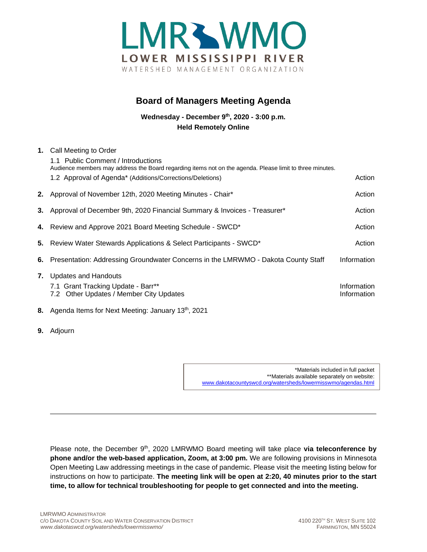

## **Board of Managers Meeting Agenda**

**Wednesday - December 9th, 2020 - 3:00 p.m. Held Remotely Online**

| 1. | Call Meeting to Order<br>1.1 Public Comment / Introductions<br>Audience members may address the Board regarding items not on the agenda. Please limit to three minutes.<br>1.2 Approval of Agenda* (Additions/Corrections/Deletions) | Action                     |
|----|--------------------------------------------------------------------------------------------------------------------------------------------------------------------------------------------------------------------------------------|----------------------------|
|    |                                                                                                                                                                                                                                      |                            |
|    | 2. Approval of November 12th, 2020 Meeting Minutes - Chair*                                                                                                                                                                          | Action                     |
|    | 3. Approval of December 9th, 2020 Financial Summary & Invoices - Treasurer*                                                                                                                                                          | Action                     |
|    | 4. Review and Approve 2021 Board Meeting Schedule - SWCD*                                                                                                                                                                            | Action                     |
|    | 5. Review Water Stewards Applications & Select Participants - SWCD*                                                                                                                                                                  | Action                     |
| 6. | Presentation: Addressing Groundwater Concerns in the LMRWMO - Dakota County Staff                                                                                                                                                    | Information                |
|    | <b>7.</b> Updates and Handouts<br>7.1 Grant Tracking Update - Barr**<br>7.2 Other Updates / Member City Updates                                                                                                                      | Information<br>Information |
|    | 8. Agenda Items for Next Meeting: January 13 <sup>th</sup> , 2021                                                                                                                                                                    |                            |

**9.** Adjourn

\*Materials included in full packet \*\*Materials available separately on website: [www.dakotacountyswcd.org/watersheds/lowermisswmo/agendas.html](http://www.dakotacountyswcd.org/watersheds/lowermisswmo/agendas.html)

Please note, the December 9<sup>th</sup>, 2020 LMRWMO Board meeting will take place **via teleconference by phone and/or the web-based application, Zoom, at 3:00 pm.** We are following provisions in Minnesota Open Meeting Law addressing meetings in the case of pandemic. Please visit the meeting listing below for instructions on how to participate. **The meeting link will be open at 2:20, 40 minutes prior to the start time, to allow for technical troubleshooting for people to get connected and into the meeting.**